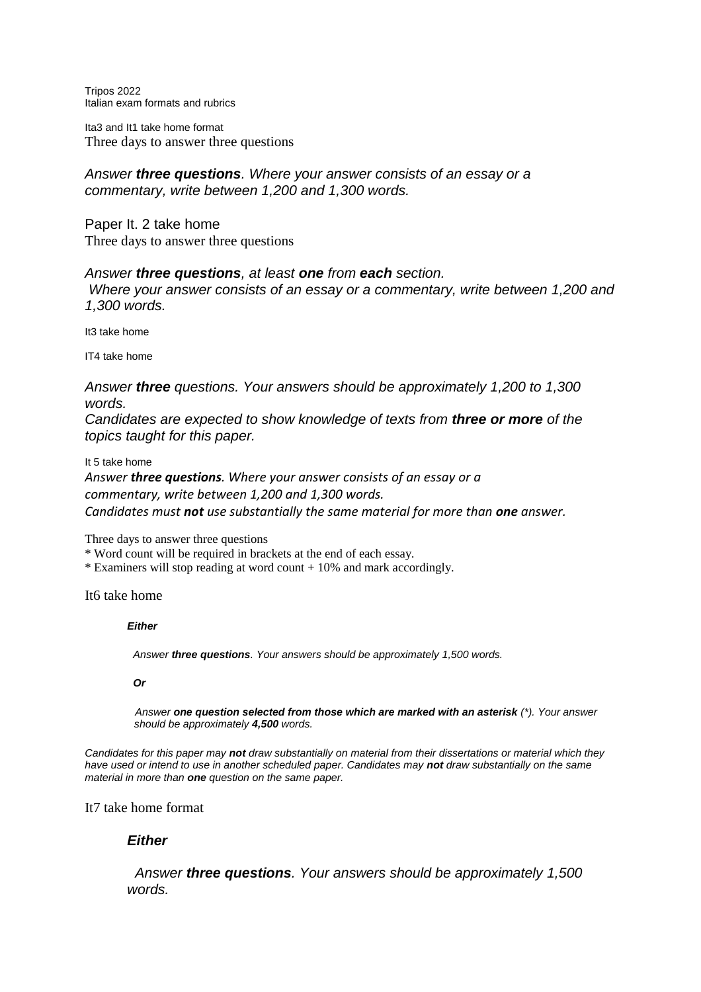Tripos 2022 Italian exam formats and rubrics

Ita3 and It1 take home format Three days to answer three questions

*Answer three questions. Where your answer consists of an essay or a commentary, write between 1,200 and 1,300 words.*

Paper It. 2 take home Three days to answer three questions

### *Answer three questions, at least one from each section.*

*Where your answer consists of an essay or a commentary, write between 1,200 and 1,300 words.*

It3 take home

IT4 take home

*Answer three questions. Your answers should be approximately 1,200 to 1,300 words.*

*Candidates are expected to show knowledge of texts from three or more of the topics taught for this paper.*

It 5 take home

*Answer three questions. Where your answer consists of an essay or a commentary, write between 1,200 and 1,300 words. Candidates must not use substantially the same material for more than one answer.*

Three days to answer three questions

\* Word count will be required in brackets at the end of each essay.

\* Examiners will stop reading at word count + 10% and mark accordingly.

It6 take home

*Either*

*Answer three questions. Your answers should be approximately 1,500 words.*

*Or*

*Answer one question selected from those which are marked with an asterisk (\*). Your answer should be approximately 4,500 words.*

*Candidates for this paper may not draw substantially on material from their dissertations or material which they have used or intend to use in another scheduled paper. Candidates may not draw substantially on the same material in more than one question on the same paper.*

It7 take home format

# *Either*

*Answer three questions. Your answers should be approximately 1,500 words.*